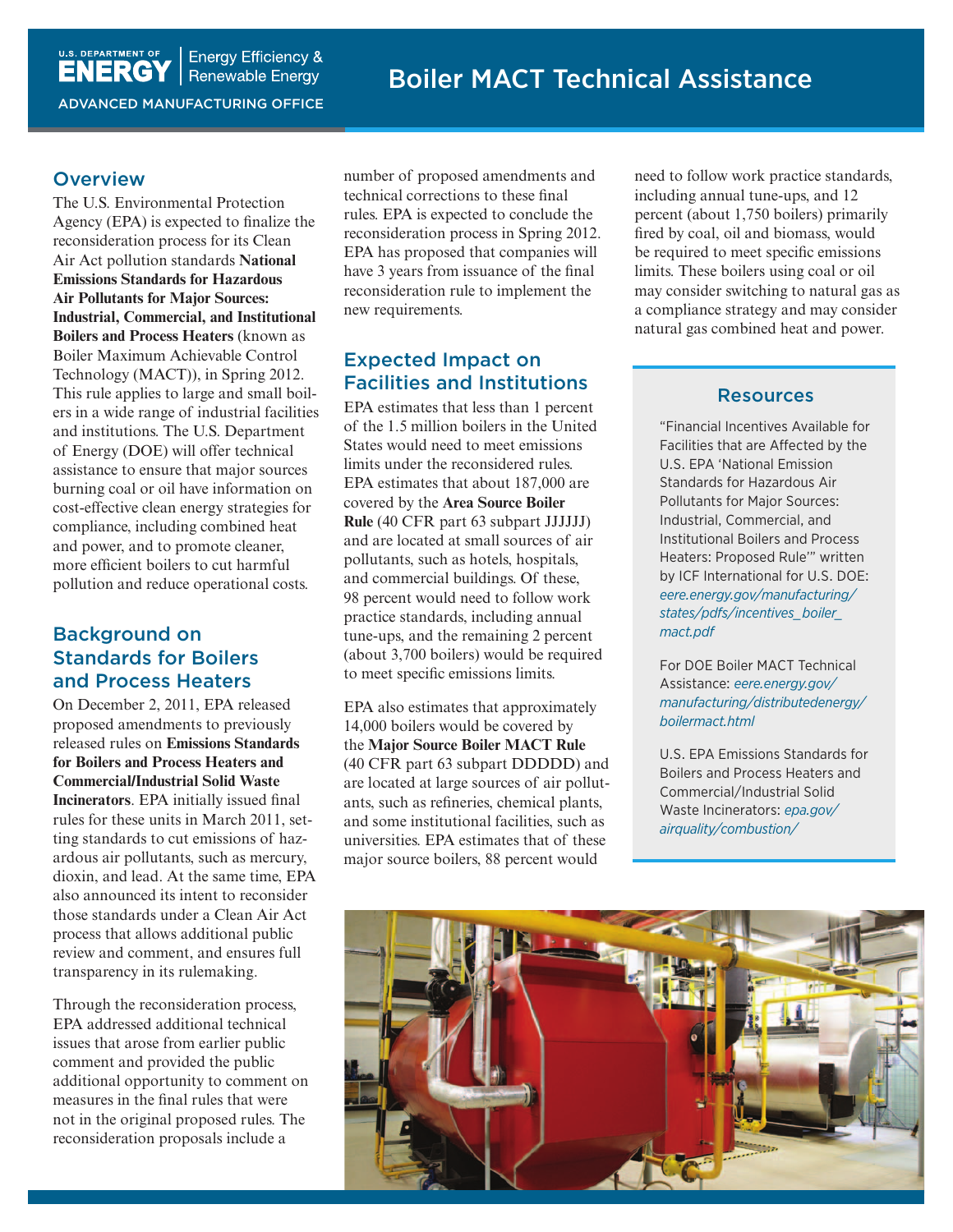**L.S. DEPARTMENT OF | ENERGY Efficiency &**<br> **ENERGY** | Renewable Energy **Energy Efficiency &** ADVANCED MANUFACTURING OFFICE

#### **Overview**

The U.S. Environmental Protection Agency (EPA) is expected to finalize the reconsideration process for its Clean Air Act pollution standards **National Emissions Standards for Hazardous Air Pollutants for Major Sources: Industrial, Commercial, and Institutional Boilers and Process Heaters** (known as Boiler Maximum Achievable Control Technology (MACT)), in Spring 2012. This rule applies to large and small boilers in a wide range of industrial facilities and institutions. The U.S. Department of Energy (DOE) will offer technical assistance to ensure that major sources burning coal or oil have information on cost-effective clean energy strategies for compliance, including combined heat and power, and to promote cleaner, more efficient boilers to cut harmful pollution and reduce operational costs.

# Background on Standards for Boilers and Process Heaters

On December 2, 2011, EPA released proposed amendments to previously released rules on **Emissions Standards for Boilers and Process Heaters and Commercial/Industrial Solid Waste Incinerators**. EPA initially issued final rules for these units in March 2011, setting standards to cut emissions of hazardous air pollutants, such as mercury, dioxin, and lead. At the same time, EPA also announced its intent to reconsider those standards under a Clean Air Act process that allows additional public review and comment, and ensures full transparency in its rulemaking.

Through the reconsideration process, EPA addressed additional technical issues that arose from earlier public comment and provided the public additional opportunity to comment on measures in the final rules that were not in the original proposed rules. The reconsideration proposals include a

number of proposed amendments and technical corrections to these final rules. EPA is expected to conclude the reconsideration process in Spring 2012. EPA has proposed that companies will have 3 years from issuance of the final reconsideration rule to implement the new requirements.

# Expected Impact on Facilities and Institutions

EPA estimates that less than 1 percent of the 1.5 million boilers in the United States would need to meet emissions limits under the reconsidered rules. EPA estimates that about 187,000 are covered by the **Area Source Boiler Rule** (40 CFR part 63 subpart JJJJJJ) and are located at small sources of air pollutants, such as hotels, hospitals, and commercial buildings. Of these, 98 percent would need to follow work practice standards, including annual tune-ups, and the remaining 2 percent (about 3,700 boilers) would be required to meet specific emissions limits.

EPA also estimates that approximately 14,000 boilers would be covered by the **Major Source Boiler MACT Rule** (40 CFR part 63 subpart DDDDD) and are located at large sources of air pollutants, such as refineries, chemical plants, and some institutional facilities, such as universities. EPA estimates that of these major source boilers, 88 percent would

need to follow work practice standards, including annual tune-ups, and 12 percent (about 1,750 boilers) primarily fired by coal, oil and biomass, would be required to meet specific emissions limits. These boilers using coal or oil may consider switching to natural gas as a compliance strategy and may consider natural gas combined heat and power.

#### Resources

"Financial Incentives Available for Facilities that are Affected by the U.S. EPA 'National Emission Standards for Hazardous Air Pollutants for Major Sources: Industrial, Commercial, and Institutional Boilers and Process Heaters: Proposed Rule'" written by ICF International for U.S. DOE: *[eere.energy.gov/manufacturing/](eere.energy.gov/manufacturing/states/pdfs/incentives_boiler_mact.pdf) [states/pdfs/incentives\\_boiler\\_](eere.energy.gov/manufacturing/states/pdfs/incentives_boiler_mact.pdf) [mact.pdf](eere.energy.gov/manufacturing/states/pdfs/incentives_boiler_mact.pdf)*

For DOE Boiler MACT Technical Assistance: *[eere.energy.gov/](eere.energy.gov/manufacturing/distributedenergy/boilermact.html) [manufacturing/distributedenergy/](eere.energy.gov/manufacturing/distributedenergy/boilermact.html) [boilermact.html](eere.energy.gov/manufacturing/distributedenergy/boilermact.html)*

U.S. EPA Emissions Standards for Boilers and Process Heaters and Commercial/Industrial Solid Waste Incinerators: *[epa.gov/](http://www.epa.gov/airquality/combustion/) [airquality/combustion/](http://www.epa.gov/airquality/combustion/)*